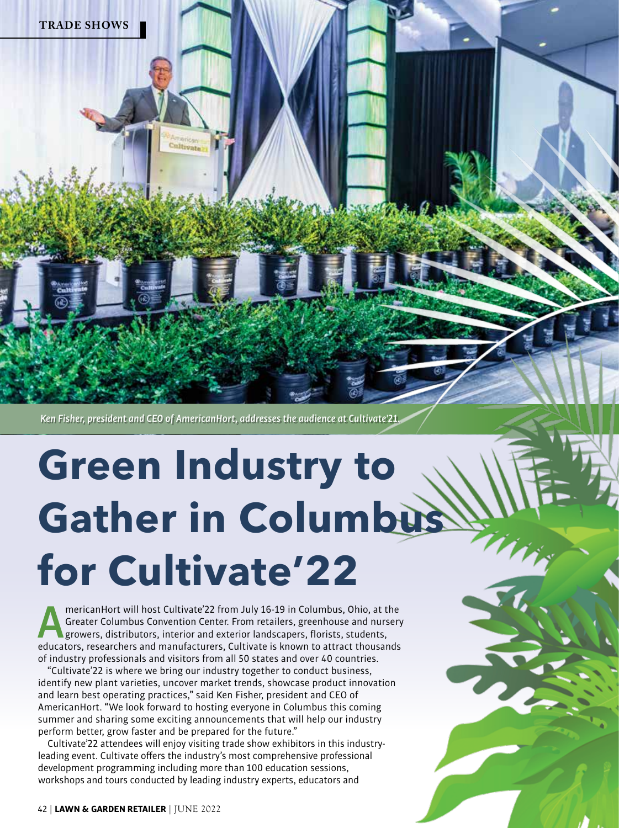

*Ken Fisher, president and CEO of AmericanHort, addresses the audience at Cultivate'21.*

 $rac{1}{2}$ 

# **Green Industry to Gather in Columbus for Cultivate'22**

mericanHort will host Cultivate'22 from July 16-19 in Columbus, Ohio, at the<br>Greater Columbus Convention Center. From retailers, greenhouse and nursery<br>growers, distributors, interior and exterior landscapers, florists, st Greater Columbus Convention Center. From retailers, greenhouse and nursery growers, distributors, interior and exterior landscapers, florists, students, educators, researchers and manufacturers, Cultivate is known to attract thousands of industry professionals and visitors from all 50 states and over 40 countries.

"Cultivate'22 is where we bring our industry together to conduct business, identify new plant varieties, uncover market trends, showcase product innovation and learn best operating practices," said Ken Fisher, president and CEO of AmericanHort. "We look forward to hosting everyone in Columbus this coming summer and sharing some exciting announcements that will help our industry perform better, grow faster and be prepared for the future."

Cultivate'22 attendees will enjoy visiting trade show exhibitors in this industryleading event. Cultivate offers the industry's most comprehensive professional development programming including more than 100 education sessions, workshops and tours conducted by leading industry experts, educators and